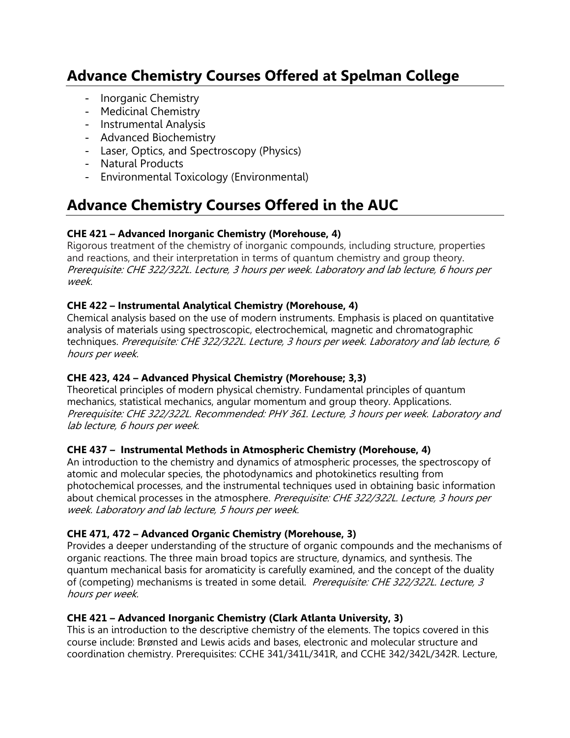# **Advance Chemistry Courses Offered at Spelman College**

- Inorganic Chemistry
- Medicinal Chemistry
- Instrumental Analysis
- Advanced Biochemistry
- Laser, Optics, and Spectroscopy (Physics)
- Natural Products
- Environmental Toxicology (Environmental)

# **Advance Chemistry Courses Offered in the AUC**

## **CHE 421 – Advanced Inorganic Chemistry (Morehouse, 4)**

Rigorous treatment of the chemistry of inorganic compounds, including structure, properties and reactions, and their interpretation in terms of quantum chemistry and group theory. Prerequisite: CHE 322/322L. Lecture, 3 hours per week. Laboratory and lab lecture, 6 hours per week.

### **CHE 422 – Instrumental Analytical Chemistry (Morehouse, 4)**

Chemical analysis based on the use of modern instruments. Emphasis is placed on quantitative analysis of materials using spectroscopic, electrochemical, magnetic and chromatographic techniques. Prerequisite: CHE 322/322L. Lecture, 3 hours per week. Laboratory and lab lecture, 6 hours per week.

### **CHE 423, 424 – Advanced Physical Chemistry (Morehouse; 3,3)**

Theoretical principles of modern physical chemistry. Fundamental principles of quantum mechanics, statistical mechanics, angular momentum and group theory. Applications. Prerequisite: CHE 322/322L. Recommended: PHY 361. Lecture, 3 hours per week. Laboratory and lab lecture, 6 hours per week.

### **CHE 437 – Instrumental Methods in Atmospheric Chemistry (Morehouse, 4)**

An introduction to the chemistry and dynamics of atmospheric processes, the spectroscopy of atomic and molecular species, the photodynamics and photokinetics resulting from photochemical processes, and the instrumental techniques used in obtaining basic information about chemical processes in the atmosphere. Prerequisite: CHE 322/322L. Lecture, 3 hours per week. Laboratory and lab lecture, 5 hours per week.

### **CHE 471, 472 – Advanced Organic Chemistry (Morehouse, 3)**

Provides a deeper understanding of the structure of organic compounds and the mechanisms of organic reactions. The three main broad topics are structure, dynamics, and synthesis. The quantum mechanical basis for aromaticity is carefully examined, and the concept of the duality of (competing) mechanisms is treated in some detail. Prerequisite: CHE 322/322L. Lecture, 3 hours per week.

### **CHE 421 – Advanced Inorganic Chemistry (Clark Atlanta University, 3)**

This is an introduction to the descriptive chemistry of the elements. The topics covered in this course include: Brønsted and Lewis acids and bases, electronic and molecular structure and coordination chemistry. Prerequisites: CCHE 341/341L/341R, and CCHE 342/342L/342R. Lecture,